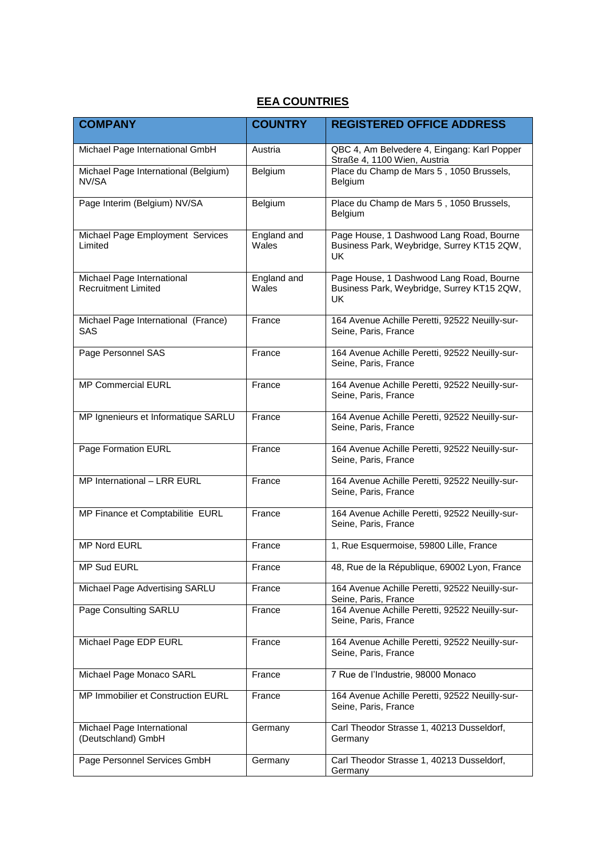## **EEA COUNTRIES**

| <b>COMPANY</b>                                           | <b>COUNTRY</b>       | <b>REGISTERED OFFICE ADDRESS</b>                                                                    |  |
|----------------------------------------------------------|----------------------|-----------------------------------------------------------------------------------------------------|--|
| Michael Page International GmbH                          | Austria              | QBC 4, Am Belvedere 4, Eingang: Karl Popper<br>Straße 4, 1100 Wien, Austria                         |  |
| Michael Page International (Belgium)<br>NV/SA            | Belgium              | Place du Champ de Mars 5, 1050 Brussels,<br>Belgium                                                 |  |
| Page Interim (Belgium) NV/SA                             | Belgium              | Place du Champ de Mars 5, 1050 Brussels,<br>Belgium                                                 |  |
| Michael Page Employment Services<br>Limited              | England and<br>Wales | Page House, 1 Dashwood Lang Road, Bourne<br>Business Park, Weybridge, Surrey KT15 2QW,<br>UK        |  |
| Michael Page International<br><b>Recruitment Limited</b> | England and<br>Wales | Page House, 1 Dashwood Lang Road, Bourne<br>Business Park, Weybridge, Surrey KT15 2QW,<br><b>UK</b> |  |
| Michael Page International (France)<br>SAS               | France               | 164 Avenue Achille Peretti, 92522 Neuilly-sur-<br>Seine, Paris, France                              |  |
| Page Personnel SAS                                       | France               | 164 Avenue Achille Peretti, 92522 Neuilly-sur-<br>Seine, Paris, France                              |  |
| <b>MP Commercial EURL</b>                                | France               | 164 Avenue Achille Peretti, 92522 Neuilly-sur-<br>Seine, Paris, France                              |  |
| MP Ignenieurs et Informatique SARLU                      | France               | 164 Avenue Achille Peretti, 92522 Neuilly-sur-<br>Seine, Paris, France                              |  |
| <b>Page Formation EURL</b>                               | France               | 164 Avenue Achille Peretti, 92522 Neuilly-sur-<br>Seine, Paris, France                              |  |
| MP International - LRR EURL                              | France               | 164 Avenue Achille Peretti, 92522 Neuilly-sur-<br>Seine, Paris, France                              |  |
| MP Finance et Comptabilitie EURL                         | France               | 164 Avenue Achille Peretti, 92522 Neuilly-sur-<br>Seine, Paris, France                              |  |
| <b>MP Nord EURL</b>                                      | France               | 1, Rue Esquermoise, 59800 Lille, France                                                             |  |
| MP Sud EURL                                              | France               | 48, Rue de la République, 69002 Lyon, France                                                        |  |
| Michael Page Advertising SARLU                           | France               | 164 Avenue Achille Peretti, 92522 Neuilly-sur-<br>Seine, Paris, France                              |  |
| Page Consulting SARLU                                    | France               | 164 Avenue Achille Peretti, 92522 Neuilly-sur-<br>Seine, Paris, France                              |  |
| Michael Page EDP EURL                                    | France               | 164 Avenue Achille Peretti, 92522 Neuilly-sur-<br>Seine, Paris, France                              |  |
| Michael Page Monaco SARL                                 | France               | 7 Rue de l'Industrie, 98000 Monaco                                                                  |  |
| MP Immobilier et Construction EURL                       | France               | 164 Avenue Achille Peretti, 92522 Neuilly-sur-<br>Seine, Paris, France                              |  |
| Michael Page International<br>(Deutschland) GmbH         | Germany              | Carl Theodor Strasse 1, 40213 Dusseldorf,<br>Germany                                                |  |
| Page Personnel Services GmbH                             | Germany              | Carl Theodor Strasse 1, 40213 Dusseldorf,<br>Germany                                                |  |